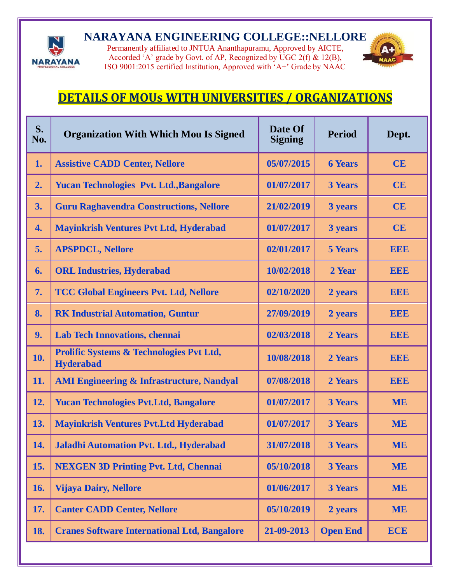

## **NARAYANA ENGINEERING COLLEGE::NELLORE**

Permanently affiliated to JNTUA Ananthapuramu, Approved by AICTE, Accorded 'A' grade by Govt. of AP, Recognized by UGC 2(f)  $\&$  12(B), ISO 9001:2015 certified Institution, Approved with 'A+' Grade by NAAC



## **DETAILS OF MOUs WITH UNIVERSITIES / ORGANIZATIONS**

| S.<br>No. | <b>Organization With Which Mou Is Signed</b>                 | Date Of<br><b>Signing</b> | <b>Period</b>   | Dept.      |
|-----------|--------------------------------------------------------------|---------------------------|-----------------|------------|
| 1.        | <b>Assistive CADD Center, Nellore</b>                        | 05/07/2015                | <b>6 Years</b>  | CE         |
| 2.        | <b>Yucan Technologies Pvt. Ltd., Bangalore</b>               | 01/07/2017                | <b>3 Years</b>  | CE         |
| 3.        | <b>Guru Raghavendra Constructions, Nellore</b>               | 21/02/2019                | 3 years         | CE         |
| 4.        | <b>Mayinkrish Ventures Pvt Ltd, Hyderabad</b>                | 01/07/2017                | 3 years         | CE         |
| 5.        | <b>APSPDCL, Nellore</b>                                      | 02/01/2017                | <b>5 Years</b>  | <b>EEE</b> |
| 6.        | <b>ORL Industries, Hyderabad</b>                             | 10/02/2018                | 2 Year          | <b>EEE</b> |
| 7.        | <b>TCC Global Engineers Pvt. Ltd, Nellore</b>                | 02/10/2020                | 2 years         | <b>EEE</b> |
| 8.        | <b>RK Industrial Automation, Guntur</b>                      | 27/09/2019                | 2 years         | <b>EEE</b> |
| 9.        | <b>Lab Tech Innovations, chennai</b>                         | 02/03/2018                | 2 Years         | <b>EEE</b> |
| 10.       | Prolific Systems & Technologies Pvt Ltd,<br><b>Hyderabad</b> | 10/08/2018                | 2 Years         | <b>EEE</b> |
| 11.       | <b>AMI Engineering &amp; Infrastructure, Nandyal</b>         | 07/08/2018                | 2 Years         | <b>EEE</b> |
| 12.       | <b>Yucan Technologies Pvt.Ltd, Bangalore</b>                 | 01/07/2017                | <b>3 Years</b>  | <b>ME</b>  |
| 13.       | <b>Mayinkrish Ventures Pvt.Ltd Hyderabad</b>                 | 01/07/2017                | <b>3 Years</b>  | <b>ME</b>  |
| 14.       | Jaladhi Automation Pvt. Ltd., Hyderabad                      | 31/07/2018                | <b>3 Years</b>  | <b>ME</b>  |
| 15.       | <b>NEXGEN 3D Printing Pvt. Ltd, Chennai</b>                  | 05/10/2018                | <b>3 Years</b>  | <b>ME</b>  |
| 16.       | <b>Vijaya Dairy, Nellore</b>                                 | 01/06/2017                | <b>3 Years</b>  | <b>ME</b>  |
| 17.       | <b>Canter CADD Center, Nellore</b>                           | 05/10/2019                | 2 years         | <b>ME</b>  |
| 18.       | <b>Cranes Software International Ltd, Bangalore</b>          | 21-09-2013                | <b>Open End</b> | <b>ECE</b> |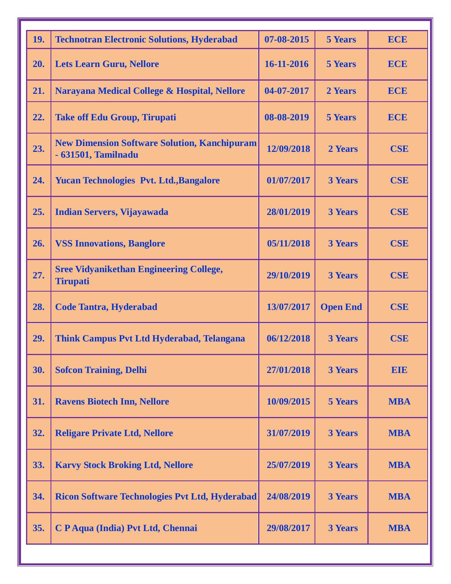| 19. | <b>Technotran Electronic Solutions, Hyderabad</b>                          | 07-08-2015 | <b>5 Years</b>  | <b>ECE</b> |
|-----|----------------------------------------------------------------------------|------------|-----------------|------------|
| 20. | <b>Lets Learn Guru, Nellore</b>                                            | 16-11-2016 | <b>5 Years</b>  | <b>ECE</b> |
| 21. | Narayana Medical College & Hospital, Nellore                               | 04-07-2017 | 2 Years         | <b>ECE</b> |
| 22. | <b>Take off Edu Group, Tirupati</b>                                        | 08-08-2019 | <b>5 Years</b>  | <b>ECE</b> |
| 23. | <b>New Dimension Software Solution, Kanchipuram</b><br>- 631501, Tamilnadu | 12/09/2018 | 2 Years         | <b>CSE</b> |
| 24. | <b>Yucan Technologies Pvt. Ltd., Bangalore</b>                             | 01/07/2017 | <b>3 Years</b>  | <b>CSE</b> |
| 25. | <b>Indian Servers, Vijayawada</b>                                          | 28/01/2019 | <b>3 Years</b>  | <b>CSE</b> |
| 26. | <b>VSS Innovations, Banglore</b>                                           | 05/11/2018 | <b>3 Years</b>  | <b>CSE</b> |
| 27. | <b>Sree Vidyanikethan Engineering College,</b><br><b>Tirupati</b>          | 29/10/2019 | <b>3 Years</b>  | <b>CSE</b> |
| 28. | <b>Code Tantra, Hyderabad</b>                                              | 13/07/2017 | <b>Open End</b> | <b>CSE</b> |
| 29. | <b>Think Campus Pvt Ltd Hyderabad, Telangana</b>                           | 06/12/2018 | <b>3 Years</b>  | <b>CSE</b> |
| 30. | <b>Sofcon Training, Delhi</b>                                              | 27/01/2018 | <b>3 Years</b>  | <b>EIE</b> |
| 31. | <b>Ravens Biotech Inn, Nellore</b>                                         | 10/09/2015 | <b>5 Years</b>  | <b>MBA</b> |
| 32. | <b>Religare Private Ltd, Nellore</b>                                       | 31/07/2019 | <b>3 Years</b>  | <b>MBA</b> |
| 33. | <b>Karvy Stock Broking Ltd, Nellore</b>                                    | 25/07/2019 | <b>3 Years</b>  | <b>MBA</b> |
| 34. | <b>Ricon Software Technologies Pvt Ltd, Hyderabad</b>                      | 24/08/2019 | <b>3 Years</b>  | <b>MBA</b> |
| 35. | C P Aqua (India) Pvt Ltd, Chennai                                          | 29/08/2017 | <b>3 Years</b>  | <b>MBA</b> |